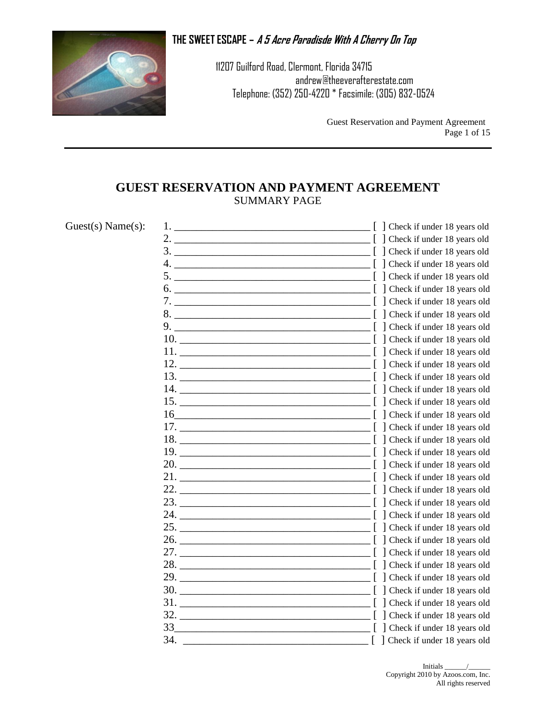

11207 Guilford Road, Clermont, Florida 34715 andrew@theeverafterestate.com Telephone: (352) 250-4220 \* Facsimile: (305) 832-0524

> Guest Reservation and Payment Agreement Page 1 of 15

## **GUEST RESERVATION AND PAYMENT AGREEMENT** SUMMARY PAGE

| Guest(s) Name(s): |                                       | [ ] Check if under 18 years old |
|-------------------|---------------------------------------|---------------------------------|
|                   |                                       | [ ] Check if under 18 years old |
|                   |                                       |                                 |
|                   |                                       |                                 |
|                   |                                       |                                 |
|                   |                                       |                                 |
|                   | 7. [ ] Check if under 18 years old    |                                 |
|                   |                                       |                                 |
|                   |                                       |                                 |
|                   |                                       |                                 |
|                   |                                       | Check if under 18 years old     |
|                   |                                       |                                 |
|                   |                                       |                                 |
|                   |                                       |                                 |
|                   |                                       |                                 |
|                   |                                       |                                 |
|                   |                                       |                                 |
|                   |                                       |                                 |
|                   |                                       |                                 |
|                   |                                       |                                 |
|                   |                                       | Check if under 18 years old     |
|                   |                                       |                                 |
|                   |                                       |                                 |
|                   |                                       |                                 |
|                   |                                       |                                 |
|                   |                                       |                                 |
|                   | 27. Check if under 18 years old       |                                 |
|                   |                                       |                                 |
|                   |                                       | Check if under 18 years old     |
|                   | $30.$ $\begin{bmatrix} \end{bmatrix}$ | Check if under 18 years old     |
|                   |                                       | Check if under 18 years old     |
|                   |                                       |                                 |
|                   |                                       |                                 |
|                   | 34.                                   | [ ] Check if under 18 years old |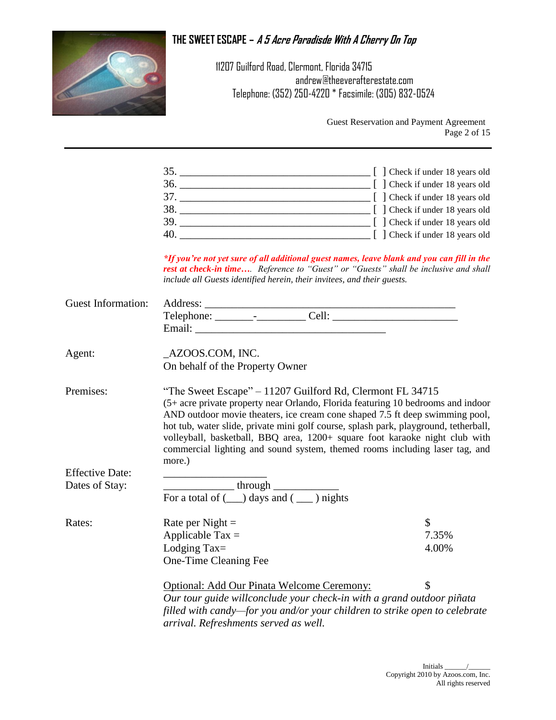

11207 Guilford Road, Clermont, Florida 34715 andrew@theeverafterestate.com Telephone: (352) 250-4220 \* Facsimile: (305) 832-0524

> Guest Reservation and Payment Agreement Page 2 of 15

| 35. | $\Box$ [ ] Check if under 18 years old                      |
|-----|-------------------------------------------------------------|
| 36. | $\lceil$ Check if under 18 years old                        |
| 37  | [ ] Check if under 18 years old                             |
| 38. | [ ] Check if under 18 years old                             |
| 39. | $\begin{bmatrix} \end{bmatrix}$ Check if under 18 years old |
| 40. | [ ] Check if under 18 years old                             |

*\*If you're not yet sure of all additional guest names, leave blank and you can fill in the rest at check-in time…. Reference to "Guest" or "Guests" shall be inclusive and shall include all Guests identified herein, their invitees, and their guests.*

| <b>Guest Information:</b> |                                                                                                                                                                                                                                                                                                                                                                                                                                                                                               |               |
|---------------------------|-----------------------------------------------------------------------------------------------------------------------------------------------------------------------------------------------------------------------------------------------------------------------------------------------------------------------------------------------------------------------------------------------------------------------------------------------------------------------------------------------|---------------|
|                           |                                                                                                                                                                                                                                                                                                                                                                                                                                                                                               |               |
|                           |                                                                                                                                                                                                                                                                                                                                                                                                                                                                                               |               |
| Agent:                    | _AZOOS.COM, INC.                                                                                                                                                                                                                                                                                                                                                                                                                                                                              |               |
|                           | On behalf of the Property Owner                                                                                                                                                                                                                                                                                                                                                                                                                                                               |               |
| Premises:                 | "The Sweet Escape" - 11207 Guilford Rd, Clermont FL 34715<br>(5+ acre private property near Orlando, Florida featuring 10 bedrooms and indoor<br>AND outdoor movie theaters, ice cream cone shaped 7.5 ft deep swimming pool,<br>hot tub, water slide, private mini golf course, splash park, playground, tetherball,<br>volleyball, basketball, BBQ area, 1200+ square foot karaoke night club with<br>commercial lighting and sound system, themed rooms including laser tag, and<br>more.) |               |
| <b>Effective Date:</b>    |                                                                                                                                                                                                                                                                                                                                                                                                                                                                                               |               |
| Dates of Stay:            |                                                                                                                                                                                                                                                                                                                                                                                                                                                                                               |               |
|                           | $\frac{\text{through}}{\text{For a total of } (\_\_\) \text{days and } (\_\_\) \text{ nights}}$                                                                                                                                                                                                                                                                                                                                                                                               |               |
| Rates:                    | Rate per Night $=$                                                                                                                                                                                                                                                                                                                                                                                                                                                                            | $\mathcal{S}$ |
|                           | Applicable Tax $=$                                                                                                                                                                                                                                                                                                                                                                                                                                                                            | 7.35%         |
|                           | Lodging Tax $=$                                                                                                                                                                                                                                                                                                                                                                                                                                                                               | 4.00%         |
|                           | One-Time Cleaning Fee                                                                                                                                                                                                                                                                                                                                                                                                                                                                         |               |
|                           | Optional: Add Our Pinata Welcome Ceremony:                                                                                                                                                                                                                                                                                                                                                                                                                                                    | \$            |
|                           | Our tour guide willconclude your check-in with a grand outdoor piñata                                                                                                                                                                                                                                                                                                                                                                                                                         |               |
|                           | filled with candy—for you and/or your children to strike open to celebrate<br>arrival. Refreshments served as well.                                                                                                                                                                                                                                                                                                                                                                           |               |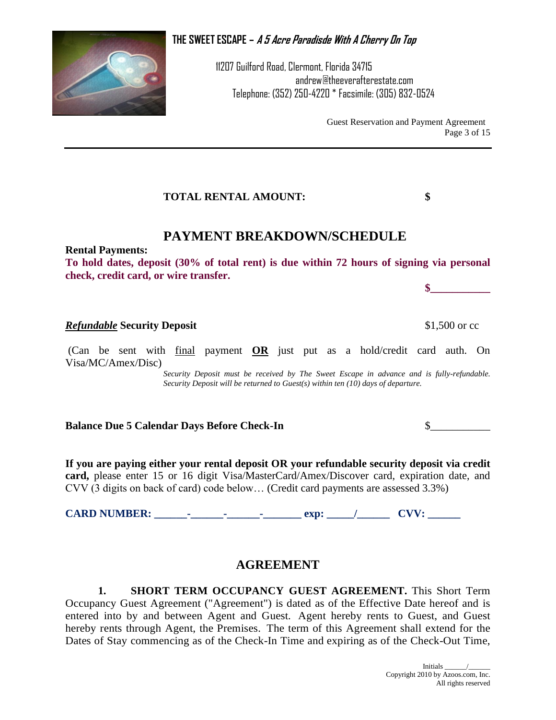11207 Guilford Road, Clermont, Florida 34715 andrew@theeverafterestate.com Telephone: (352) 250-4220 \* Facsimile: (305) 832-0524

> Guest Reservation and Payment Agreement Page 3 of 15

> > **\$\_\_\_\_\_\_\_\_\_\_\_**

**TOTAL RENTAL AMOUNT: \$**

# **PAYMENT BREAKDOWN/SCHEDULE**

**Rental Payments:**

**To hold dates, deposit (30% of total rent) is due within 72 hours of signing via personal check, credit card, or wire transfer.**

### *Refundable* **Security Deposit** \$1,500 or cc

(Can be sent with final payment **OR** just put as a hold/credit card auth. On Visa/MC/Amex/Disc)

> *Security Deposit must be received by The Sweet Escape in advance and is fully-refundable. Security Deposit will be returned to Guest(s) within ten (10) days of departure.*

**Balance Due 5 Calendar Days Before Check-In** \$

**If you are paying either your rental deposit OR your refundable security deposit via credit card,** please enter 15 or 16 digit Visa/MasterCard/Amex/Discover card, expiration date, and CVV (3 digits on back of card) code below… (Credit card payments are assessed 3.3%)

CARD NUMBER: \_\_\_\_\_\_\_<sup>\_</sup>\_\_\_\_\_\_<sup>\_</sup>\_\_\_\_\_\_\_\_\_\_ exp: \_\_\_\_\_/ \_\_\_\_\_\_\_ CVV: \_\_\_\_\_\_\_

## **AGREEMENT**

**1. SHORT TERM OCCUPANCY GUEST AGREEMENT.** This Short Term Occupancy Guest Agreement ("Agreement") is dated as of the Effective Date hereof and is entered into by and between Agent and Guest. Agent hereby rents to Guest, and Guest hereby rents through Agent, the Premises. The term of this Agreement shall extend for the Dates of Stay commencing as of the Check-In Time and expiring as of the Check-Out Time,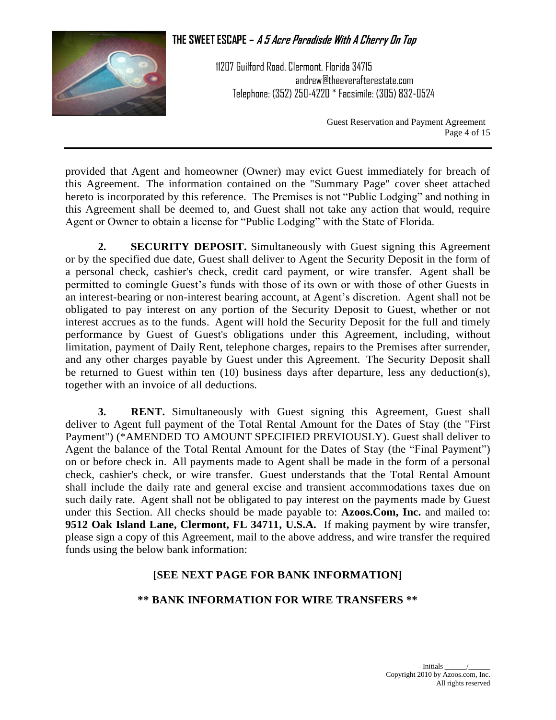

11207 Guilford Road, Clermont, Florida 34715 andrew@theeverafterestate.com Telephone: (352) 250-4220 \* Facsimile: (305) 832-0524

> Guest Reservation and Payment Agreement Page 4 of 15

provided that Agent and homeowner (Owner) may evict Guest immediately for breach of this Agreement. The information contained on the "Summary Page" cover sheet attached hereto is incorporated by this reference. The Premises is not "Public Lodging" and nothing in this Agreement shall be deemed to, and Guest shall not take any action that would, require Agent or Owner to obtain a license for "Public Lodging" with the State of Florida.

**2. SECURITY DEPOSIT.** Simultaneously with Guest signing this Agreement or by the specified due date, Guest shall deliver to Agent the Security Deposit in the form of a personal check, cashier's check, credit card payment, or wire transfer. Agent shall be permitted to comingle Guest's funds with those of its own or with those of other Guests in an interest-bearing or non-interest bearing account, at Agent's discretion. Agent shall not be obligated to pay interest on any portion of the Security Deposit to Guest, whether or not interest accrues as to the funds. Agent will hold the Security Deposit for the full and timely performance by Guest of Guest's obligations under this Agreement, including, without limitation, payment of Daily Rent, telephone charges, repairs to the Premises after surrender, and any other charges payable by Guest under this Agreement. The Security Deposit shall be returned to Guest within ten (10) business days after departure, less any deduction(s), together with an invoice of all deductions.

**3. RENT.** Simultaneously with Guest signing this Agreement, Guest shall deliver to Agent full payment of the Total Rental Amount for the Dates of Stay (the "First Payment") (\*AMENDED TO AMOUNT SPECIFIED PREVIOUSLY). Guest shall deliver to Agent the balance of the Total Rental Amount for the Dates of Stay (the "Final Payment") on or before check in. All payments made to Agent shall be made in the form of a personal check, cashier's check, or wire transfer. Guest understands that the Total Rental Amount shall include the daily rate and general excise and transient accommodations taxes due on such daily rate. Agent shall not be obligated to pay interest on the payments made by Guest under this Section. All checks should be made payable to: **Azoos.Com, Inc.** and mailed to: **9512 Oak Island Lane, Clermont, FL 34711, U.S.A.** If making payment by wire transfer, please sign a copy of this Agreement, mail to the above address, and wire transfer the required funds using the below bank information:

#### **[SEE NEXT PAGE FOR BANK INFORMATION]**

#### **\*\* BANK INFORMATION FOR WIRE TRANSFERS \*\***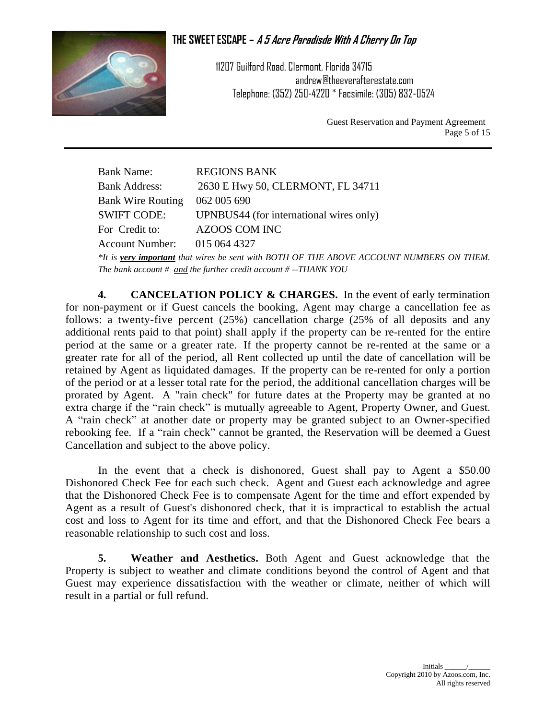

11207 Guilford Road, Clermont, Florida 34715 andrew@theeverafterestate.com Telephone: (352) 250-4220 \* Facsimile: (305) 832-0524

> Guest Reservation and Payment Agreement Page 5 of 15

Bank Name: REGIONS BANK Bank Address: 2630 E Hwy 50, CLERMONT, FL 34711 Bank Wire Routing 062 005 690 SWIFT CODE: UPNBUS44 (for international wires only) For Credit to: AZOOS COM INC Account Number: 015 064 4327 *\*It is very important that wires be sent with BOTH OF THE ABOVE ACCOUNT NUMBERS ON THEM. The bank account # and the further credit account # --THANK YOU*

**4. CANCELATION POLICY & CHARGES.** In the event of early termination for non-payment or if Guest cancels the booking, Agent may charge a cancellation fee as follows: a twenty-five percent (25%) cancellation charge (25% of all deposits and any additional rents paid to that point) shall apply if the property can be re-rented for the entire period at the same or a greater rate. If the property cannot be re-rented at the same or a greater rate for all of the period, all Rent collected up until the date of cancellation will be retained by Agent as liquidated damages. If the property can be re-rented for only a portion of the period or at a lesser total rate for the period, the additional cancellation charges will be prorated by Agent. A "rain check" for future dates at the Property may be granted at no extra charge if the "rain check" is mutually agreeable to Agent, Property Owner, and Guest. A "rain check" at another date or property may be granted subject to an Owner-specified rebooking fee. If a "rain check" cannot be granted, the Reservation will be deemed a Guest Cancellation and subject to the above policy.

In the event that a check is dishonored, Guest shall pay to Agent a \$50.00 Dishonored Check Fee for each such check. Agent and Guest each acknowledge and agree that the Dishonored Check Fee is to compensate Agent for the time and effort expended by Agent as a result of Guest's dishonored check, that it is impractical to establish the actual cost and loss to Agent for its time and effort, and that the Dishonored Check Fee bears a reasonable relationship to such cost and loss.

**5. Weather and Aesthetics.** Both Agent and Guest acknowledge that the Property is subject to weather and climate conditions beyond the control of Agent and that Guest may experience dissatisfaction with the weather or climate, neither of which will result in a partial or full refund.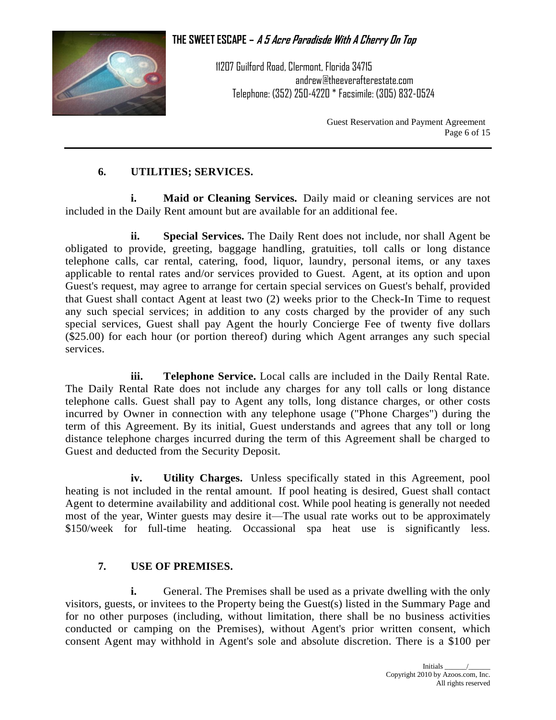

11207 Guilford Road, Clermont, Florida 34715 andrew@theeverafterestate.com Telephone: (352) 250-4220 \* Facsimile: (305) 832-0524

> Guest Reservation and Payment Agreement Page 6 of 15

#### **6. UTILITIES; SERVICES.**

**i. Maid or Cleaning Services.** Daily maid or cleaning services are not included in the Daily Rent amount but are available for an additional fee.

**ii. Special Services.** The Daily Rent does not include, nor shall Agent be obligated to provide, greeting, baggage handling, gratuities, toll calls or long distance telephone calls, car rental, catering, food, liquor, laundry, personal items, or any taxes applicable to rental rates and/or services provided to Guest. Agent, at its option and upon Guest's request, may agree to arrange for certain special services on Guest's behalf, provided that Guest shall contact Agent at least two (2) weeks prior to the Check-In Time to request any such special services; in addition to any costs charged by the provider of any such special services, Guest shall pay Agent the hourly Concierge Fee of twenty five dollars (\$25.00) for each hour (or portion thereof) during which Agent arranges any such special services.

**iii. Telephone Service.** Local calls are included in the Daily Rental Rate. The Daily Rental Rate does not include any charges for any toll calls or long distance telephone calls. Guest shall pay to Agent any tolls, long distance charges, or other costs incurred by Owner in connection with any telephone usage ("Phone Charges") during the term of this Agreement. By its initial, Guest understands and agrees that any toll or long distance telephone charges incurred during the term of this Agreement shall be charged to Guest and deducted from the Security Deposit.

**iv. Utility Charges.** Unless specifically stated in this Agreement, pool heating is not included in the rental amount. If pool heating is desired, Guest shall contact Agent to determine availability and additional cost. While pool heating is generally not needed most of the year, Winter guests may desire it—The usual rate works out to be approximately \$150/week for full-time heating. Occassional spa heat use is significantly less.

#### **7. USE OF PREMISES.**

**i.** General. The Premises shall be used as a private dwelling with the only visitors, guests, or invitees to the Property being the Guest(s) listed in the Summary Page and for no other purposes (including, without limitation, there shall be no business activities conducted or camping on the Premises), without Agent's prior written consent, which consent Agent may withhold in Agent's sole and absolute discretion. There is a \$100 per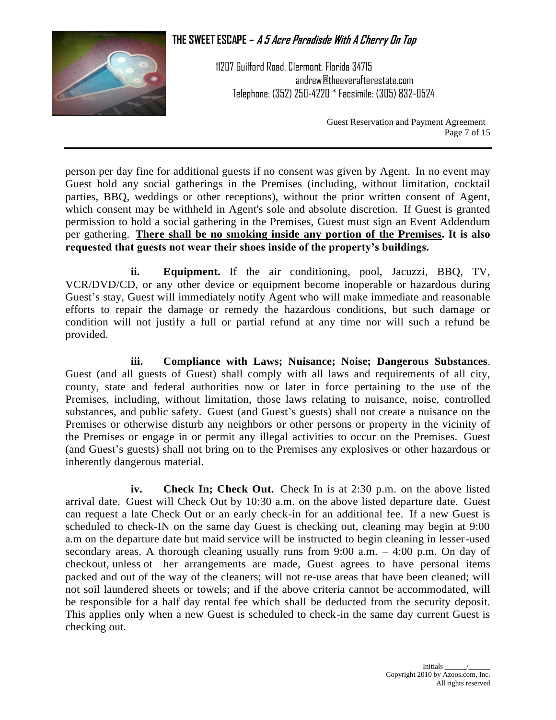

11207 Guilford Road, Clermont, Florida 34715 andrew@theeverafterestate.com Telephone: (352) 250-4220 \* Facsimile: (305) 832-0524

> Guest Reservation and Payment Agreement Page 7 of 15

person per day fine for additional guests if no consent was given by Agent. In no event may Guest hold any social gatherings in the Premises (including, without limitation, cocktail parties, BBQ, weddings or other receptions), without the prior written consent of Agent, which consent may be withheld in Agent's sole and absolute discretion. If Guest is granted permission to hold a social gathering in the Premises, Guest must sign an Event Addendum per gathering. **There shall be no smoking inside any portion of the Premises. It is also requested that guests not wear their shoes inside of the property's buildings.**

**ii. Equipment.** If the air conditioning, pool, Jacuzzi, BBQ, TV, VCR/DVD/CD, or any other device or equipment become inoperable or hazardous during Guest's stay, Guest will immediately notify Agent who will make immediate and reasonable efforts to repair the damage or remedy the hazardous conditions, but such damage or condition will not justify a full or partial refund at any time nor will such a refund be provided.

**iii. Compliance with Laws; Nuisance; Noise; Dangerous Substances**. Guest (and all guests of Guest) shall comply with all laws and requirements of all city, county, state and federal authorities now or later in force pertaining to the use of the Premises, including, without limitation, those laws relating to nuisance, noise, controlled substances, and public safety. Guest (and Guest's guests) shall not create a nuisance on the Premises or otherwise disturb any neighbors or other persons or property in the vicinity of the Premises or engage in or permit any illegal activities to occur on the Premises. Guest (and Guest's guests) shall not bring on to the Premises any explosives or other hazardous or inherently dangerous material.

**iv. Check In; Check Out.** Check In is at 2:30 p.m. on the above listed arrival date. Guest will Check Out by 10:30 a.m. on the above listed departure date. Guest can request a late Check Out or an early check-in for an additional fee. If a new Guest is scheduled to check-IN on the same day Guest is checking out, cleaning may begin at 9:00 a.m on the departure date but maid service will be instructed to begin cleaning in lesser-used secondary areas. A thorough cleaning usually runs from 9:00 a.m. – 4:00 p.m. On day of checkout, unless ot her arrangements are made, Guest agrees to have personal items packed and out of the way of the cleaners; will not re-use areas that have been cleaned; will not soil laundered sheets or towels; and if the above criteria cannot be accommodated, will be responsible for a half day rental fee which shall be deducted from the security deposit. This applies only when a new Guest is scheduled to check-in the same day current Guest is checking out.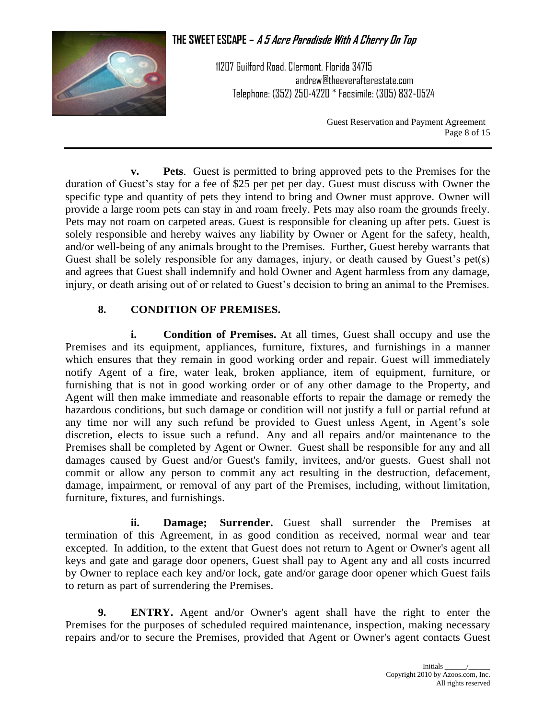

11207 Guilford Road, Clermont, Florida 34715 andrew@theeverafterestate.com Telephone: (352) 250-4220 \* Facsimile: (305) 832-0524

> Guest Reservation and Payment Agreement Page 8 of 15

**v. Pets**. Guest is permitted to bring approved pets to the Premises for the duration of Guest's stay for a fee of \$25 per pet per day. Guest must discuss with Owner the specific type and quantity of pets they intend to bring and Owner must approve. Owner will provide a large room pets can stay in and roam freely. Pets may also roam the grounds freely. Pets may not roam on carpeted areas. Guest is responsible for cleaning up after pets. Guest is solely responsible and hereby waives any liability by Owner or Agent for the safety, health, and/or well-being of any animals brought to the Premises. Further, Guest hereby warrants that Guest shall be solely responsible for any damages, injury, or death caused by Guest's pet(s) and agrees that Guest shall indemnify and hold Owner and Agent harmless from any damage, injury, or death arising out of or related to Guest's decision to bring an animal to the Premises.

## **8. CONDITION OF PREMISES.**

**i. Condition of Premises.** At all times, Guest shall occupy and use the Premises and its equipment, appliances, furniture, fixtures, and furnishings in a manner which ensures that they remain in good working order and repair. Guest will immediately notify Agent of a fire, water leak, broken appliance, item of equipment, furniture, or furnishing that is not in good working order or of any other damage to the Property, and Agent will then make immediate and reasonable efforts to repair the damage or remedy the hazardous conditions, but such damage or condition will not justify a full or partial refund at any time nor will any such refund be provided to Guest unless Agent, in Agent's sole discretion, elects to issue such a refund. Any and all repairs and/or maintenance to the Premises shall be completed by Agent or Owner. Guest shall be responsible for any and all damages caused by Guest and/or Guest's family, invitees, and/or guests. Guest shall not commit or allow any person to commit any act resulting in the destruction, defacement, damage, impairment, or removal of any part of the Premises, including, without limitation, furniture, fixtures, and furnishings.

**ii. Damage; Surrender.** Guest shall surrender the Premises at termination of this Agreement, in as good condition as received, normal wear and tear excepted. In addition, to the extent that Guest does not return to Agent or Owner's agent all keys and gate and garage door openers, Guest shall pay to Agent any and all costs incurred by Owner to replace each key and/or lock, gate and/or garage door opener which Guest fails to return as part of surrendering the Premises.

**9. ENTRY.** Agent and/or Owner's agent shall have the right to enter the Premises for the purposes of scheduled required maintenance, inspection, making necessary repairs and/or to secure the Premises, provided that Agent or Owner's agent contacts Guest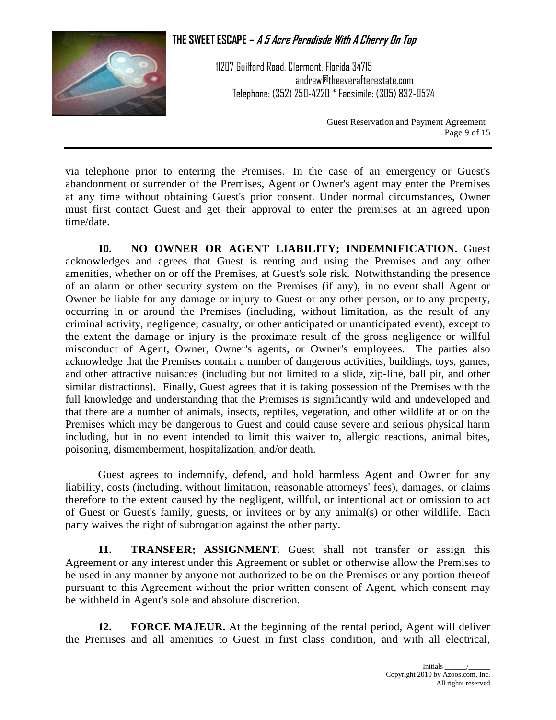

11207 Guilford Road, Clermont, Florida 34715 andrew@theeverafterestate.com Telephone: (352) 250-4220 \* Facsimile: (305) 832-0524

> Guest Reservation and Payment Agreement Page 9 of 15

via telephone prior to entering the Premises. In the case of an emergency or Guest's abandonment or surrender of the Premises, Agent or Owner's agent may enter the Premises at any time without obtaining Guest's prior consent. Under normal circumstances, Owner must first contact Guest and get their approval to enter the premises at an agreed upon time/date.

**10. NO OWNER OR AGENT LIABILITY; INDEMNIFICATION.** Guest acknowledges and agrees that Guest is renting and using the Premises and any other amenities, whether on or off the Premises, at Guest's sole risk. Notwithstanding the presence of an alarm or other security system on the Premises (if any), in no event shall Agent or Owner be liable for any damage or injury to Guest or any other person, or to any property, occurring in or around the Premises (including, without limitation, as the result of any criminal activity, negligence, casualty, or other anticipated or unanticipated event), except to the extent the damage or injury is the proximate result of the gross negligence or willful misconduct of Agent, Owner, Owner's agents, or Owner's employees. The parties also acknowledge that the Premises contain a number of dangerous activities, buildings, toys, games, and other attractive nuisances (including but not limited to a slide, zip-line, ball pit, and other similar distractions). Finally, Guest agrees that it is taking possession of the Premises with the full knowledge and understanding that the Premises is significantly wild and undeveloped and that there are a number of animals, insects, reptiles, vegetation, and other wildlife at or on the Premises which may be dangerous to Guest and could cause severe and serious physical harm including, but in no event intended to limit this waiver to, allergic reactions, animal bites, poisoning, dismemberment, hospitalization, and/or death.

Guest agrees to indemnify, defend, and hold harmless Agent and Owner for any liability, costs (including, without limitation, reasonable attorneys' fees), damages, or claims therefore to the extent caused by the negligent, willful, or intentional act or omission to act of Guest or Guest's family, guests, or invitees or by any animal(s) or other wildlife. Each party waives the right of subrogation against the other party.

**11. TRANSFER; ASSIGNMENT.** Guest shall not transfer or assign this Agreement or any interest under this Agreement or sublet or otherwise allow the Premises to be used in any manner by anyone not authorized to be on the Premises or any portion thereof pursuant to this Agreement without the prior written consent of Agent, which consent may be withheld in Agent's sole and absolute discretion.

**12. FORCE MAJEUR.** At the beginning of the rental period, Agent will deliver the Premises and all amenities to Guest in first class condition, and with all electrical,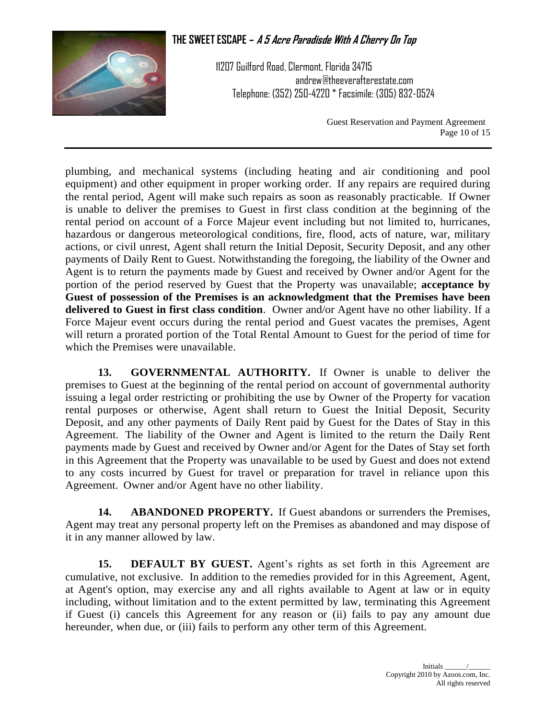

11207 Guilford Road, Clermont, Florida 34715 andrew@theeverafterestate.com Telephone: (352) 250-4220 \* Facsimile: (305) 832-0524

> Guest Reservation and Payment Agreement Page 10 of 15

plumbing, and mechanical systems (including heating and air conditioning and pool equipment) and other equipment in proper working order. If any repairs are required during the rental period, Agent will make such repairs as soon as reasonably practicable. If Owner is unable to deliver the premises to Guest in first class condition at the beginning of the rental period on account of a Force Majeur event including but not limited to, hurricanes, hazardous or dangerous meteorological conditions, fire, flood, acts of nature, war, military actions, or civil unrest, Agent shall return the Initial Deposit, Security Deposit, and any other payments of Daily Rent to Guest. Notwithstanding the foregoing, the liability of the Owner and Agent is to return the payments made by Guest and received by Owner and/or Agent for the portion of the period reserved by Guest that the Property was unavailable; **acceptance by Guest of possession of the Premises is an acknowledgment that the Premises have been delivered to Guest in first class condition**. Owner and/or Agent have no other liability. If a Force Majeur event occurs during the rental period and Guest vacates the premises, Agent will return a prorated portion of the Total Rental Amount to Guest for the period of time for which the Premises were unavailable.

**13. GOVERNMENTAL AUTHORITY.** If Owner is unable to deliver the premises to Guest at the beginning of the rental period on account of governmental authority issuing a legal order restricting or prohibiting the use by Owner of the Property for vacation rental purposes or otherwise, Agent shall return to Guest the Initial Deposit, Security Deposit, and any other payments of Daily Rent paid by Guest for the Dates of Stay in this Agreement. The liability of the Owner and Agent is limited to the return the Daily Rent payments made by Guest and received by Owner and/or Agent for the Dates of Stay set forth in this Agreement that the Property was unavailable to be used by Guest and does not extend to any costs incurred by Guest for travel or preparation for travel in reliance upon this Agreement. Owner and/or Agent have no other liability.

**14. ABANDONED PROPERTY.** If Guest abandons or surrenders the Premises, Agent may treat any personal property left on the Premises as abandoned and may dispose of it in any manner allowed by law.

**15. DEFAULT BY GUEST.** Agent's rights as set forth in this Agreement are cumulative, not exclusive. In addition to the remedies provided for in this Agreement, Agent, at Agent's option, may exercise any and all rights available to Agent at law or in equity including, without limitation and to the extent permitted by law, terminating this Agreement if Guest (i) cancels this Agreement for any reason or (ii) fails to pay any amount due hereunder, when due, or (iii) fails to perform any other term of this Agreement.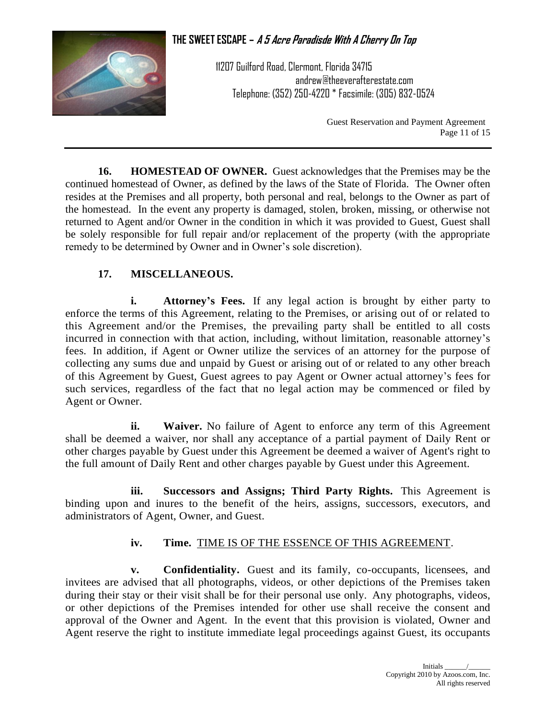

11207 Guilford Road, Clermont, Florida 34715 andrew@theeverafterestate.com Telephone: (352) 250-4220 \* Facsimile: (305) 832-0524

> Guest Reservation and Payment Agreement Page 11 of 15

**16. HOMESTEAD OF OWNER.** Guest acknowledges that the Premises may be the continued homestead of Owner, as defined by the laws of the State of Florida. The Owner often resides at the Premises and all property, both personal and real, belongs to the Owner as part of the homestead. In the event any property is damaged, stolen, broken, missing, or otherwise not returned to Agent and/or Owner in the condition in which it was provided to Guest, Guest shall be solely responsible for full repair and/or replacement of the property (with the appropriate remedy to be determined by Owner and in Owner's sole discretion).

## **17. MISCELLANEOUS.**

**i. Attorney's Fees.** If any legal action is brought by either party to enforce the terms of this Agreement, relating to the Premises, or arising out of or related to this Agreement and/or the Premises, the prevailing party shall be entitled to all costs incurred in connection with that action, including, without limitation, reasonable attorney's fees. In addition, if Agent or Owner utilize the services of an attorney for the purpose of collecting any sums due and unpaid by Guest or arising out of or related to any other breach of this Agreement by Guest, Guest agrees to pay Agent or Owner actual attorney's fees for such services, regardless of the fact that no legal action may be commenced or filed by Agent or Owner.

**ii. Waiver.** No failure of Agent to enforce any term of this Agreement shall be deemed a waiver, nor shall any acceptance of a partial payment of Daily Rent or other charges payable by Guest under this Agreement be deemed a waiver of Agent's right to the full amount of Daily Rent and other charges payable by Guest under this Agreement.

**iii. Successors and Assigns; Third Party Rights.** This Agreement is binding upon and inures to the benefit of the heirs, assigns, successors, executors, and administrators of Agent, Owner, and Guest.

### **iv. Time.** TIME IS OF THE ESSENCE OF THIS AGREEMENT.

**v. Confidentiality.** Guest and its family, co-occupants, licensees, and invitees are advised that all photographs, videos, or other depictions of the Premises taken during their stay or their visit shall be for their personal use only. Any photographs, videos, or other depictions of the Premises intended for other use shall receive the consent and approval of the Owner and Agent. In the event that this provision is violated, Owner and Agent reserve the right to institute immediate legal proceedings against Guest, its occupants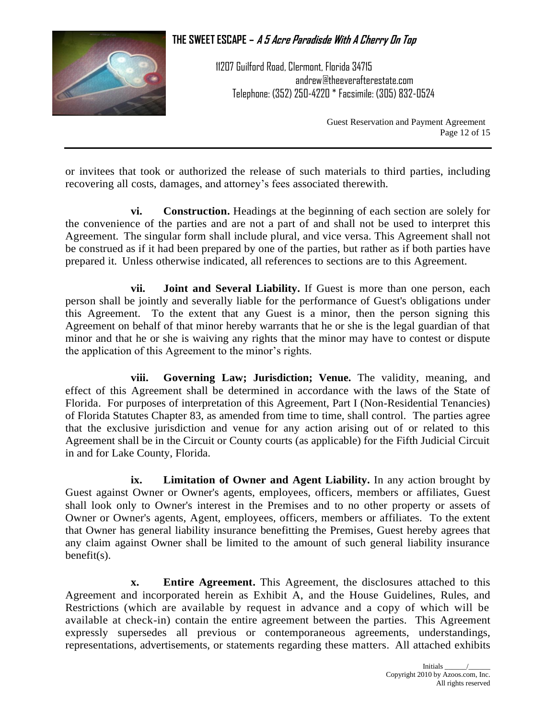

11207 Guilford Road, Clermont, Florida 34715 andrew@theeverafterestate.com Telephone: (352) 250-4220 \* Facsimile: (305) 832-0524

> Guest Reservation and Payment Agreement Page 12 of 15

or invitees that took or authorized the release of such materials to third parties, including recovering all costs, damages, and attorney's fees associated therewith.

**vi. Construction.** Headings at the beginning of each section are solely for the convenience of the parties and are not a part of and shall not be used to interpret this Agreement. The singular form shall include plural, and vice versa. This Agreement shall not be construed as if it had been prepared by one of the parties, but rather as if both parties have prepared it. Unless otherwise indicated, all references to sections are to this Agreement.

**vii. Joint and Several Liability.** If Guest is more than one person, each person shall be jointly and severally liable for the performance of Guest's obligations under this Agreement. To the extent that any Guest is a minor, then the person signing this Agreement on behalf of that minor hereby warrants that he or she is the legal guardian of that minor and that he or she is waiving any rights that the minor may have to contest or dispute the application of this Agreement to the minor's rights.

**viii. Governing Law; Jurisdiction; Venue.** The validity, meaning, and effect of this Agreement shall be determined in accordance with the laws of the State of Florida. For purposes of interpretation of this Agreement, Part I (Non-Residential Tenancies) of Florida Statutes Chapter 83, as amended from time to time, shall control. The parties agree that the exclusive jurisdiction and venue for any action arising out of or related to this Agreement shall be in the Circuit or County courts (as applicable) for the Fifth Judicial Circuit in and for Lake County, Florida.

**ix. Limitation of Owner and Agent Liability.** In any action brought by Guest against Owner or Owner's agents, employees, officers, members or affiliates, Guest shall look only to Owner's interest in the Premises and to no other property or assets of Owner or Owner's agents, Agent, employees, officers, members or affiliates. To the extent that Owner has general liability insurance benefitting the Premises, Guest hereby agrees that any claim against Owner shall be limited to the amount of such general liability insurance benefit(s).

**x. Entire Agreement.** This Agreement, the disclosures attached to this Agreement and incorporated herein as Exhibit A, and the House Guidelines, Rules, and Restrictions (which are available by request in advance and a copy of which will be available at check-in) contain the entire agreement between the parties. This Agreement expressly supersedes all previous or contemporaneous agreements, understandings, representations, advertisements, or statements regarding these matters. All attached exhibits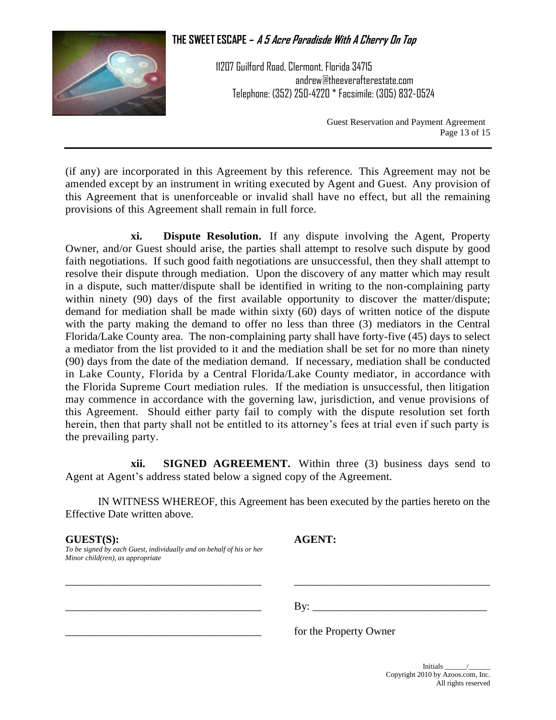

11207 Guilford Road, Clermont, Florida 34715 andrew@theeverafterestate.com Telephone: (352) 250-4220 \* Facsimile: (305) 832-0524

> Guest Reservation and Payment Agreement Page 13 of 15

(if any) are incorporated in this Agreement by this reference. This Agreement may not be amended except by an instrument in writing executed by Agent and Guest. Any provision of this Agreement that is unenforceable or invalid shall have no effect, but all the remaining provisions of this Agreement shall remain in full force.

**xi. Dispute Resolution.** If any dispute involving the Agent, Property Owner, and/or Guest should arise, the parties shall attempt to resolve such dispute by good faith negotiations. If such good faith negotiations are unsuccessful, then they shall attempt to resolve their dispute through mediation. Upon the discovery of any matter which may result in a dispute, such matter/dispute shall be identified in writing to the non-complaining party within ninety (90) days of the first available opportunity to discover the matter/dispute; demand for mediation shall be made within sixty (60) days of written notice of the dispute with the party making the demand to offer no less than three (3) mediators in the Central Florida/Lake County area. The non-complaining party shall have forty-five (45) days to select a mediator from the list provided to it and the mediation shall be set for no more than ninety (90) days from the date of the mediation demand. If necessary, mediation shall be conducted in Lake County, Florida by a Central Florida/Lake County mediator, in accordance with the Florida Supreme Court mediation rules. If the mediation is unsuccessful, then litigation may commence in accordance with the governing law, jurisdiction, and venue provisions of this Agreement. Should either party fail to comply with the dispute resolution set forth herein, then that party shall not be entitled to its attorney's fees at trial even if such party is the prevailing party.

**xii. SIGNED AGREEMENT.** Within three (3) business days send to Agent at Agent's address stated below a signed copy of the Agreement.

IN WITNESS WHEREOF, this Agreement has been executed by the parties hereto on the Effective Date written above.

\_\_\_\_\_\_\_\_\_\_\_\_\_\_\_\_\_\_\_\_\_\_\_\_\_\_\_\_\_\_\_\_\_\_\_\_ \_\_\_\_\_\_\_\_\_\_\_\_\_\_\_\_\_\_\_\_\_\_\_\_\_\_\_\_\_\_\_\_\_\_\_\_

#### **GUEST(S): AGENT:**

*To be signed by each Guest, individually and on behalf of his or her Minor child(ren), as appropriate*

 $\exists$  By:

for the Property Owner

Initials \_\_\_\_\_\_/\_\_\_\_\_\_ Copyright 2010 by Azoos.com, Inc. All rights reserved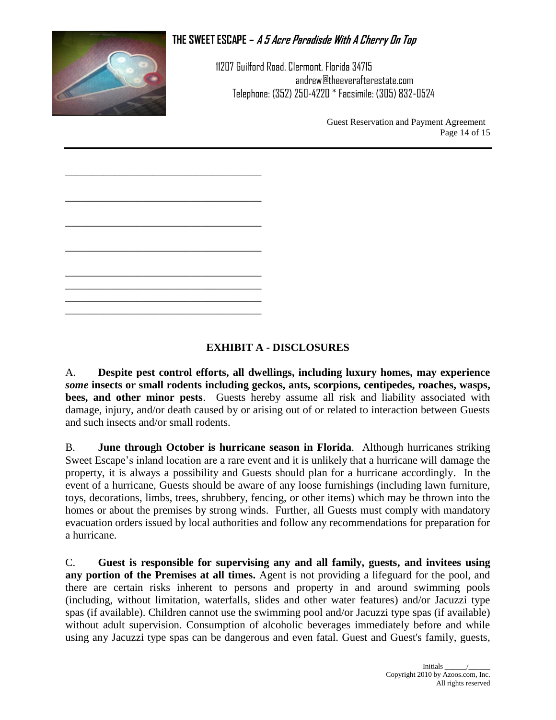

11207 Guilford Road, Clermont, Florida 34715 andrew@theeverafterestate.com Telephone: (352) 250-4220 \* Facsimile: (305) 832-0524

> Guest Reservation and Payment Agreement Page 14 of 15

## **EXHIBIT A - DISCLOSURES**

A. **Despite pest control efforts, all dwellings, including luxury homes, may experience**  *some* **insects or small rodents including geckos, ants, scorpions, centipedes, roaches, wasps, bees, and other minor pests**. Guests hereby assume all risk and liability associated with damage, injury, and/or death caused by or arising out of or related to interaction between Guests and such insects and/or small rodents.

B. **June through October is hurricane season in Florida**. Although hurricanes striking Sweet Escape's inland location are a rare event and it is unlikely that a hurricane will damage the property, it is always a possibility and Guests should plan for a hurricane accordingly. In the event of a hurricane, Guests should be aware of any loose furnishings (including lawn furniture, toys, decorations, limbs, trees, shrubbery, fencing, or other items) which may be thrown into the homes or about the premises by strong winds. Further, all Guests must comply with mandatory evacuation orders issued by local authorities and follow any recommendations for preparation for a hurricane.

C. **Guest is responsible for supervising any and all family, guests, and invitees using any portion of the Premises at all times.** Agent is not providing a lifeguard for the pool, and there are certain risks inherent to persons and property in and around swimming pools (including, without limitation, waterfalls, slides and other water features) and/or Jacuzzi type spas (if available). Children cannot use the swimming pool and/or Jacuzzi type spas (if available) without adult supervision. Consumption of alcoholic beverages immediately before and while using any Jacuzzi type spas can be dangerous and even fatal. Guest and Guest's family, guests,